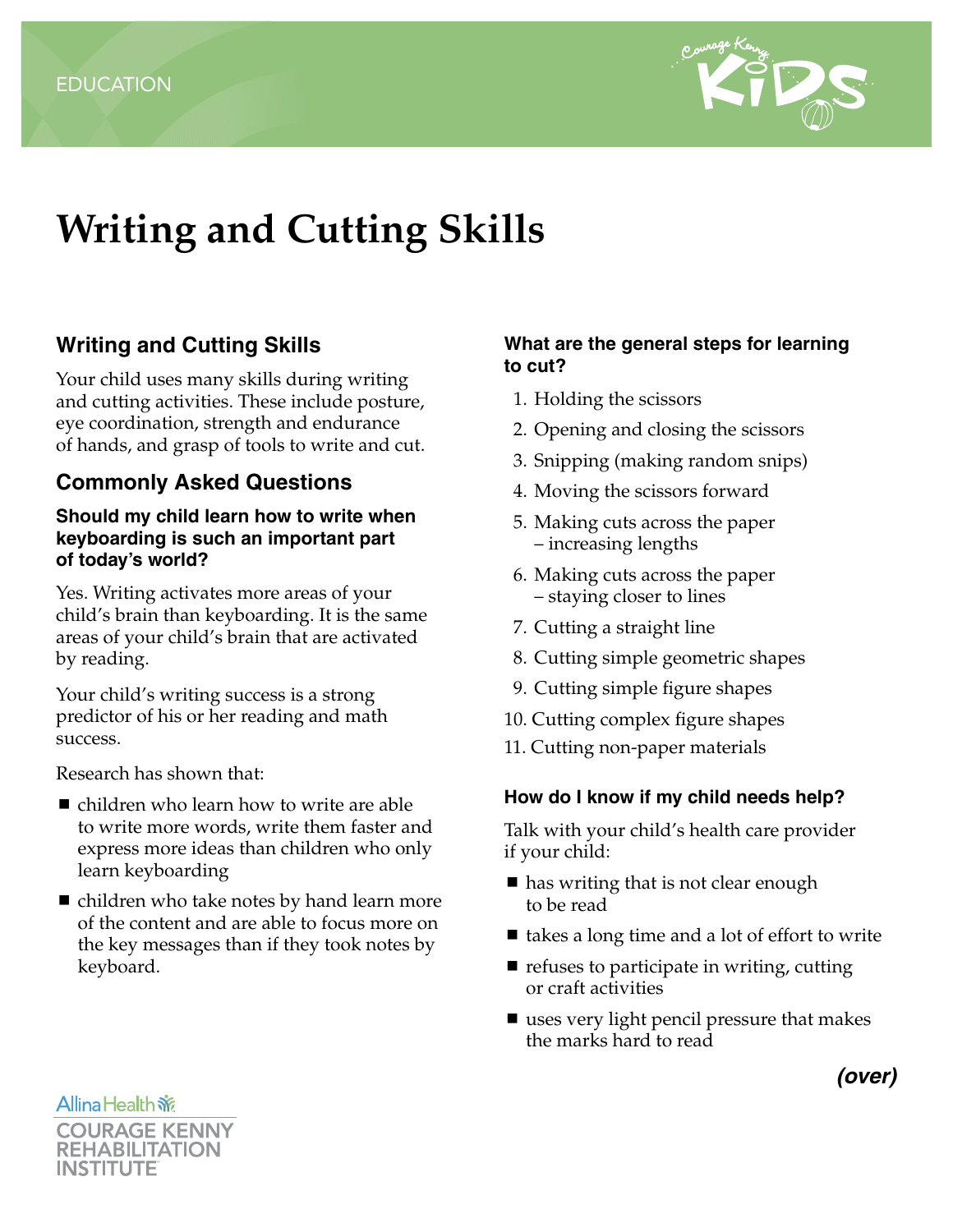

# **Writing and Cutting Skills**

## **Writing and Cutting Skills**

Your child uses many skills during writing and cutting activities. These include posture, eye coordination, strength and endurance of hands, and grasp of tools to write and cut.

## **Commonly Asked Questions**

#### **Should my child learn how to write when keyboarding is such an important part of today's world?**

Yes. Writing activates more areas of your child's brain than keyboarding. It is the same areas of your child's brain that are activated by reading.

Your child's writing success is a strong predictor of his or her reading and math success.

Research has shown that:

- children who learn how to write are able to write more words, write them faster and express more ideas than children who only learn keyboarding
- children who take notes by hand learn more of the content and are able to focus more on the key messages than if they took notes by keyboard.

#### **What are the general steps for learning to cut?**

- 1. Holding the scissors
- 2. Opening and closing the scissors
- 3. Snipping (making random snips)
- 4. Moving the scissors forward
- 5. Making cuts across the paper – increasing lengths
- 6. Making cuts across the paper – staying closer to lines
- 7. Cutting a straight line
- 8. Cutting simple geometric shapes
- 9. Cutting simple figure shapes
- 10. Cutting complex figure shapes
- 11. Cutting non-paper materials

#### **How do I know if my child needs help?**

Talk with your child's health care provider if your child:

- has writing that is not clear enough to be read
- $\blacksquare$  takes a long time and a lot of effort to write
- $\blacksquare$  refuses to participate in writing, cutting or craft activities
- uses very light pencil pressure that makes the marks hard to read

**Allina Health 旅** 



*(over)*